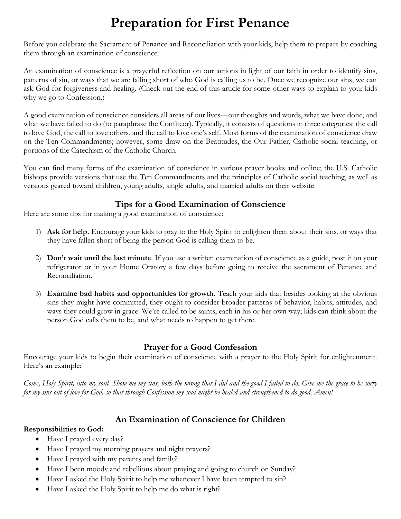# **Preparation for First Penance**

Before you celebrate the Sacrament of Penance and Reconciliation with your kids, help them to prepare by coaching them through an examination of conscience.

An examination of conscience is a prayerful reflection on our actions in light of our faith in order to identify sins, patterns of sin, or ways that we are falling short of who God is calling us to be. Once we recognize our sins, we can ask God for forgiveness and healing. (Check out the end of this article for some other ways to explain to your kids why we go to Confession.)

A good examination of conscience considers all areas of our lives—our thoughts and words, what we have done, and what we have failed to do (to paraphrase the Confiteor). Typically, it consists of questions in three categories: the call to love God, the call to love others, and the call to love one's self. Most forms of the examination of conscience draw on the Ten Commandments; however, some draw on the Beatitudes, the Our Father, Catholic social teaching, or portions of the Catechism of the Catholic Church.

You can find many forms of the examination of conscience in various prayer books and online; the U.S. Catholic bishops provide versions that use the Ten Commandments and the principles of Catholic social teaching, as well as versions geared toward children, young adults, single adults, and married adults on their website.

#### **Tips for a Good Examination of Conscience**

Here are some tips for making a good examination of conscience:

- 1) **Ask for help.** Encourage your kids to pray to the Holy Spirit to enlighten them about their sins, or ways that they have fallen short of being the person God is calling them to be.
- 2) **Don't wait until the last minute**. If you use a written examination of conscience as a guide, post it on your refrigerator or in your Home Oratory a few days before going to receive the sacrament of Penance and Reconciliation.
- 3) **Examine bad habits and opportunities for growth.** Teach your kids that besides looking at the obvious sins they might have committed, they ought to consider broader patterns of behavior, habits, attitudes, and ways they could grow in grace. We're called to be saints, each in his or her own way; kids can think about the person God calls them to be, and what needs to happen to get there.

## **Prayer for a Good Confession**

Encourage your kids to begin their examination of conscience with a prayer to the Holy Spirit for enlightenment. Here's an example:

*Come, Holy Spirit, into my soul. Show me my sins, both the wrong that I did and the good I failed to do. Give me the grace to be sorry for my sins out of love for God, so that through Confession my soul might be healed and strengthened to do good. Amen!*

## **An Examination of Conscience for Children**

#### **Responsibilities to God:**

- Have I prayed every day?
- Have I prayed my morning prayers and night prayers?
- Have I prayed with my parents and family?
- Have I been moody and rebellious about praying and going to church on Sunday?
- Have I asked the Holy Spirit to help me whenever I have been tempted to sin?
- Have I asked the Holy Spirit to help me do what is right?